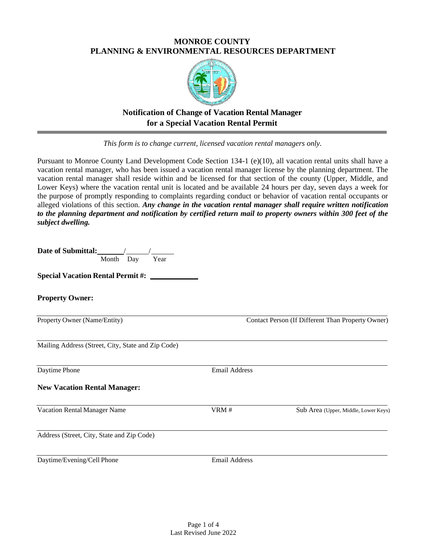### **MONROE COUNTY PLANNING & ENVIRONMENTAL RESOURCES DEPARTMENT**



# **Notification of Change of Vacation Rental Manager for a Special Vacation Rental Permit**

*This form is to change current, licensed vacation rental managers only.*

Pursuant to Monroe County Land Development Code Section 134-1 (e)(10), all vacation rental units shall have a vacation rental manager, who has been issued a vacation rental manager license by the planning department. The vacation rental manager shall reside within and be licensed for that section of the county (Upper, Middle, and Lower Keys) where the vacation rental unit is located and be available 24 hours per day, seven days a week for the purpose of promptly responding to complaints regarding conduct or behavior of vacation rental occupants or alleged violations of this section. *Any change in the vacation rental manager shall require written notification to the planning department and notification by certified return mail to property owners within 300 feet of the subject dwelling.*

| Date of Submittal: 1<br>Month Day<br>Year          |                      |                                                   |
|----------------------------------------------------|----------------------|---------------------------------------------------|
| <b>Special Vacation Rental Permit #:</b>           |                      |                                                   |
| <b>Property Owner:</b>                             |                      |                                                   |
| Property Owner (Name/Entity)                       |                      | Contact Person (If Different Than Property Owner) |
| Mailing Address (Street, City, State and Zip Code) |                      |                                                   |
| Daytime Phone                                      | <b>Email Address</b> |                                                   |
| <b>New Vacation Rental Manager:</b>                |                      |                                                   |
| Vacation Rental Manager Name                       | VRM#                 | Sub Area (Upper, Middle, Lower Keys)              |
| Address (Street, City, State and Zip Code)         |                      |                                                   |
| Daytime/Evening/Cell Phone                         | <b>Email Address</b> |                                                   |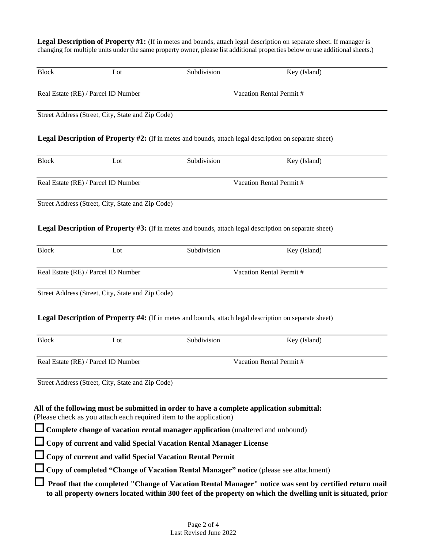Legal Description of Property #1: (If in metes and bounds, attach legal description on separate sheet. If manager is changing for multiple units under the same property owner, please list additional properties below or use additional sheets.)

| <b>Block</b> | Lot                                                                | Subdivision                                                                                                   | Key (Island)                                                                                                 |  |
|--------------|--------------------------------------------------------------------|---------------------------------------------------------------------------------------------------------------|--------------------------------------------------------------------------------------------------------------|--|
|              | Real Estate (RE) / Parcel ID Number                                | Vacation Rental Permit #                                                                                      |                                                                                                              |  |
|              | Street Address (Street, City, State and Zip Code)                  |                                                                                                               |                                                                                                              |  |
|              |                                                                    | <b>Legal Description of Property #2:</b> (If in metes and bounds, attach legal description on separate sheet) |                                                                                                              |  |
| <b>Block</b> | Lot                                                                | Subdivision                                                                                                   | Key (Island)                                                                                                 |  |
|              | Real Estate (RE) / Parcel ID Number                                |                                                                                                               | Vacation Rental Permit #                                                                                     |  |
|              | Street Address (Street, City, State and Zip Code)                  |                                                                                                               |                                                                                                              |  |
|              |                                                                    | <b>Legal Description of Property #3:</b> (If in metes and bounds, attach legal description on separate sheet) |                                                                                                              |  |
| <b>Block</b> | Lot                                                                | Subdivision                                                                                                   | Key (Island)                                                                                                 |  |
|              | Real Estate (RE) / Parcel ID Number                                |                                                                                                               | Vacation Rental Permit #                                                                                     |  |
|              | Street Address (Street, City, State and Zip Code)                  |                                                                                                               |                                                                                                              |  |
|              |                                                                    | Legal Description of Property #4: (If in metes and bounds, attach legal description on separate sheet)        |                                                                                                              |  |
| <b>Block</b> | Lot                                                                | Subdivision                                                                                                   | Key (Island)                                                                                                 |  |
|              | Real Estate (RE) / Parcel ID Number                                |                                                                                                               | Vacation Rental Permit #                                                                                     |  |
|              | Street Address (Street, City, State and Zip Code)                  |                                                                                                               |                                                                                                              |  |
|              |                                                                    |                                                                                                               |                                                                                                              |  |
|              | (Please check as you attach each required item to the application) | All of the following must be submitted in order to have a complete application submittal:                     |                                                                                                              |  |
|              |                                                                    | $\Box$ Complete change of vacation rental manager application (unaltered and unbound)                         |                                                                                                              |  |
|              |                                                                    | Copy of current and valid Special Vacation Rental Manager License                                             |                                                                                                              |  |
|              | □ Copy of current and valid Special Vacation Rental Permit         |                                                                                                               |                                                                                                              |  |
|              |                                                                    | Copy of completed "Change of Vacation Rental Manager" notice (please see attachment)                          |                                                                                                              |  |
|              |                                                                    |                                                                                                               | Proof that the completed "Change of Vacation Rental Manager" notice was sent by certified return mail        |  |
|              |                                                                    |                                                                                                               | to all property owners located within 300 feet of the property on which the dwelling unit is situated, prior |  |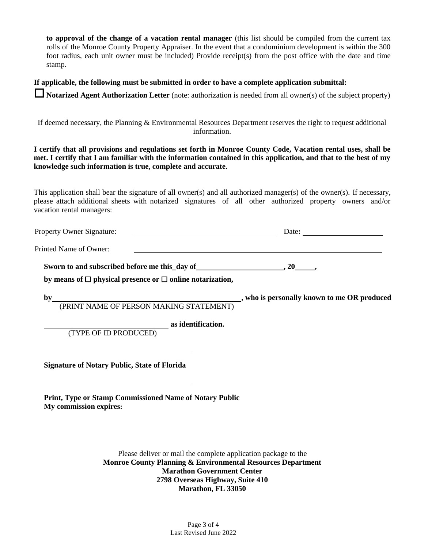**to approval of the change of a vacation rental manager** (this list should be compiled from the current tax rolls of the Monroe County Property Appraiser. In the event that a condominium development is within the 300 foot radius, each unit owner must be included) Provide receipt(s) from the post office with the date and time stamp.

**If applicable, the following must be submitted in order to have a complete application submittal:**

**Notarized Agent Authorization Letter** (note: authorization is needed from all owner(s) of the subject property)

If deemed necessary, the Planning & Environmental Resources Department reserves the right to request additional information.

**I certify that all provisions and regulations set forth in Monroe County Code, Vacation rental uses, shall be met. I certify that I am familiar with the information contained in this application, and that to the best of my knowledge such information is true, complete and accurate.**

This application shall bear the signature of all owner(s) and all authorized manager(s) of the owner(s). If necessary, please attach additional sheets with notarized signatures of all other authorized property owners and/or vacation rental managers:

| Property Owner Signature: | Date: |
|---------------------------|-------|
|                           |       |

Printed Name of Owner:

**Sworn to and subscribed before me this\_day of**  $\qquad \qquad$ **, 20 ,** 

**by means of □ physical presence or □ online notarization,** 

**by , who is personally known to me OR produced**

(PRINT NAME OF PERSON MAKING STATEMENT)

**as identification.**

(TYPE OF ID PRODUCED)

**Signature of Notary Public, State of Florida**

**Print, Type or Stamp Commissioned Name of Notary Public My commission expires:**

> Please deliver or mail the complete application package to the **Monroe County Planning & Environmental Resources Department Marathon Government Center 2798 Overseas Highway, Suite 410 Marathon, FL 33050**